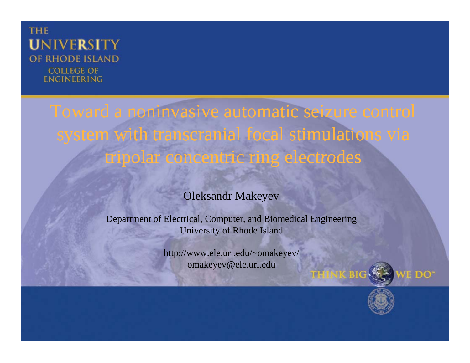### **THE UNIVERSITY** OF RHODE ISLAND **COLLEGE OF ENGINEERING**

Toward <sup>a</sup> noninvasive automatic seizure control system with transcranial focal stimulations via tripolar concentric ring electrodes<br>Oleksandr Makeyev

Department of Electrical, Computer, and Biomedical Engineering University of Rhode Island

> http://www.ele.uri.edu/~omakeyev/ omakeyev@ele.uri.edu



**E** DO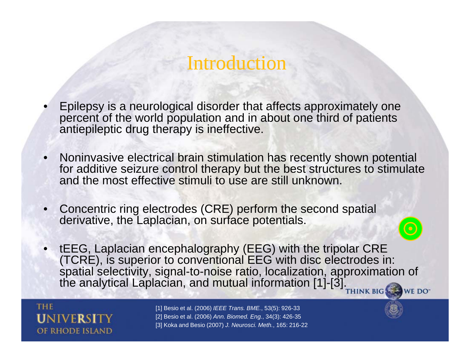- •Epilepsy is a neurological disorder that affects approximately one percent of the world population and in about one third of patients antiepileptic drug therapy is ineffective.
- • Noninvasive electrical brain stimulation has recently shown potential for additive seizure control therapy but the best structures to stimulate and the most effective stimuli to use are still unknown.
- • Concentric ring electrodes (CRE) perform the second spatial derivative, the Laplacian, on surface potentials.
- $\bullet$  tEEG, Laplacian encephalography (EEG) with the tripolar CRE (TCRE), is superior to conventional EEG with disc electrodes in: spatial selectivity, signal-to-noise ratio, localization, approximation of the analytical Laplacian, and mutual information [1]-[3]. WE DO<sup>-</sup>

**THE** OF RHODE ISLAND

[1] Besio et al. (2006) *IEEE Trans. BME.*, 53(5): 926-33 [2] Besio et al. (2006) *Ann. Biomed. Eng.*, 34(3): 426-35 [3] Koka and Besio (2007) *J. Neurosci. Meth.*, 165: 216-22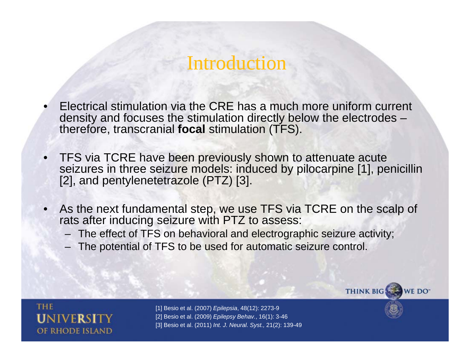- • Electrical stimulation via the CRE has a much more uniform current density and focuses the stimulation directly below the electrodes – therefore, transcranial **focal** stimulation (TFS).
- • TFS via TCRE have been previously shown to attenuate acute seizures in three seizure models: induced by pilocarpine [1], penicillin [2], and pentylenetetrazole (PTZ) [3].
- • As the next fundamental step, we use TFS via TCRE on the scalp of rats after inducing seizure with PTZ to assess:
	- The effect of TFS on behavioral and electrographic seizure activity;
	- The potential of TFS to be used for automatic seizure control.



[1] Besio et al. (2007) *Epilepsia*, 48(12): 2273-9 [2] Besio et al. (2009) *Epilepsy Behav.*, 16(1): 3-46 [3] Besio et al. (2011) *Int. J. Neural. Syst.,* 21(2): 139-49

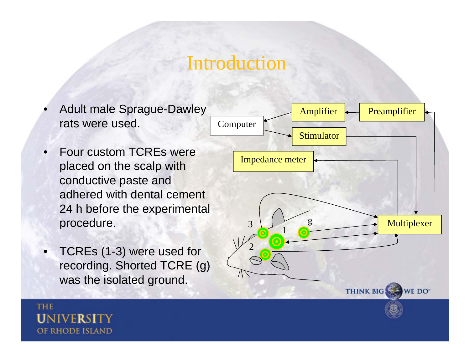- •rats were used.
- • Four custom TCREs were placed on the scalp with conductive paste and adhered with dental cement 24 h before the experimental procedure.
- $\bullet$   $\,$  TCREs (1-3) were used for •recording. Shorted TCRE (g) was the isolated ground.

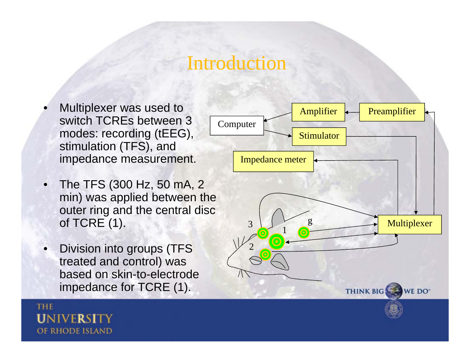- •Multiplexer was used to <br>switch TCREs between 3 modes: recording (tEEG), stimulation (TFS), and impedance measurement.
- • The TFS (300 Hz, 50 mA, 2 min) was applied between the outer ring and the central disc of TCRE (1).
- • Division into groups (TFS treated and control) was based on skin-to-electrode impedance for TCRE (1).

**THE** 

**UNIVER** 

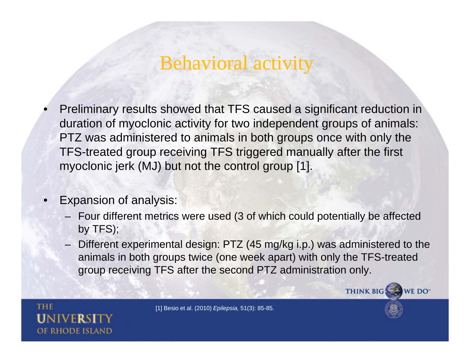• Preliminary results showed that TFS caused <sup>a</sup> significant reduction in duration of myoclonic activity for two independent groups of animals: PTZ was administered to animals in both groups once with only the TFS-treated group receiving TFS triggered manually after the first myoclonic jerk (MJ) but not the control group [1].

### •Expansion of analysis:

- Four different metrics were used (3 of which could potentially be affected by TFS);
- Different experimental design: PTZ (45 mg/kg i.p.) was administered to the animals in both groups twice (one week apart) with only the TFS-treated group receiving TFS after the second PTZ administration only.



[1] Besio et al. (2010) *Epilepsia,* 51(3): 85-85.



**THINK BIG** 

WE DO<sup>-</sup>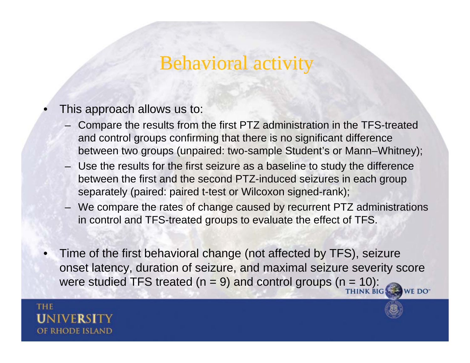- •This approach allows us to:
	- Compare the results from the first PTZ administration in the TFS-treated and control groups confirming that there is no significant difference between two groups (unpaired: two-sample Student's or Mann–Whitney);
	- Use the results for the first seizure as a baseline to study the difference between the first and the second PTZ-induced seizures in each group separately (paired: paired t-test or Wilcoxon signed-rank);
	- We compare the rates of change caused by recurrent PTZ administrations in control and TFS-treated groups to evaluate the effect of TFS.
- Time of the first behavioral change (not affected by TFS), seizure •onset latency, duration of seizure, and maximal seizure severity score were studied TFS treated ( $n = 9$ ) and control groups ( $n = 10$ ): WE DO<sup>-</sup>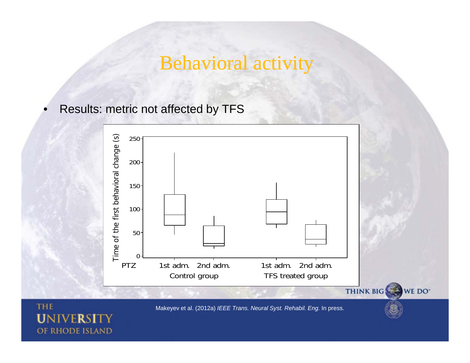•Results: metric not affected by TFS



Makeyev et al. (2012a) *IEEE Trans. Neural Syst. Rehabil. Eng.* In press.

WE DO<sup>-</sup>

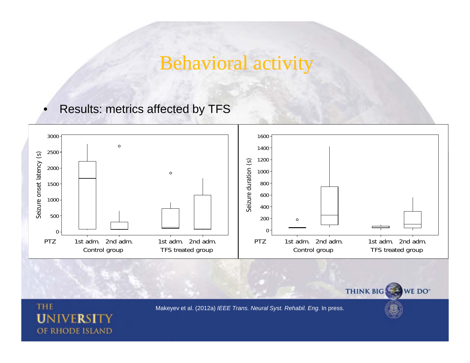•Results: metrics affected by TFS

**THE** 

UNIVERSI

OF RHODE ISLAND



Makeyev et al. (2012a) *IEEE Trans. Neural Syst. Rehabil. Eng.* In press.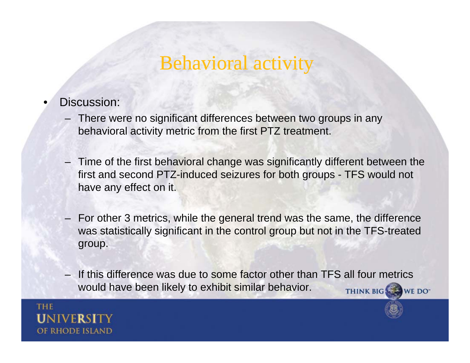- • Discussion:
	- There were no significant differences between two groups in any behavioral activity metric from the first PTZ treatment.
	- $-$  Time of the first behavioral change was significantly different between the first and second PTZ-induced seizures for both groups - TFS would not have any effect on it.
	- For other 3 metrics, while the general trend was the same, the difference was statistically significant in the control group but not in the TFS-treated group.
	- If this difference was due to some factor other than TFS all four metrics would have been likely to exhibit similar behavior.THINK BIG WE DO"

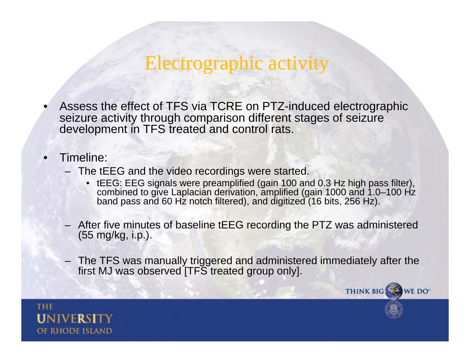- •Assess the effect of TFS via TCRE on PTZ-induced electrographic seizure activity through comparison different stages of seizure development in TFS treated and control rats.
- • Timeline:
	- The tEEG and the video recordings were started.
		- tEEG: EEG signals were preamplified (gain 100 and 0.3 Hz high pass filter), combined to give Laplacian derivation, amplified (gain 1000 and 1.0–100 Hz band pass and 60 Hz notch filtered), and digitized (16 bits, 256 Hz).
	- After five minutes of baseline tEEG recording the PTZ was administered (55 mg/kg, i.p.).
	- The TFS was manually triggered and administered immediately after the first MJ was observed [TFS treated group only].

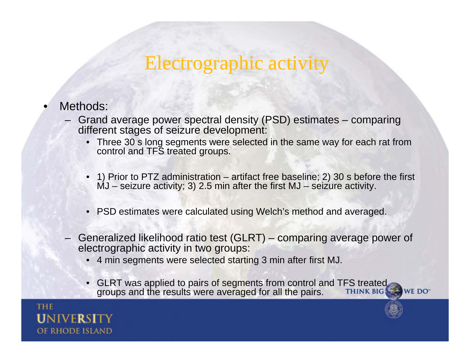- • Methods:
	- Grand average power spectral density (PSD) estimates comparing different stages of seizure development:
		- Three 30 s long segments were selected in the same way for each rat from control and TFS treated groups.
		- 1) Prior to PTZ administration artifact free baseline; 2) 30 s before the first  $MJ$  – seizure activity; 3) 2.5 min after the first  $MJ$  – seizure activity.
		- PSD estimates were calculated using Welch's method and averaged.
	- Generalized likelihood ratio test (GLRT) comparing average power of electrographic activity in two groups:
		- 4 min segments were selected starting 3 min after first MJ.
		- GLRT was applied to pairs of segments from control and TFS treated<br>groups and the results were averaged for all the pairs.<br>THINK BIG WE DO" ps and the results were avera ged for all the pairs.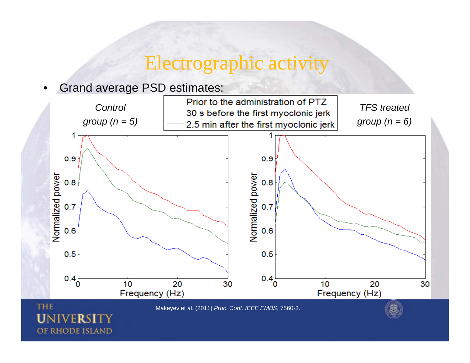#### •Grand average PSD estimates:



Makeyev et al. (2011) *Proc. Conf. IEEE EMBS*, 7560-3.

### UNI OF RHODE ISLAND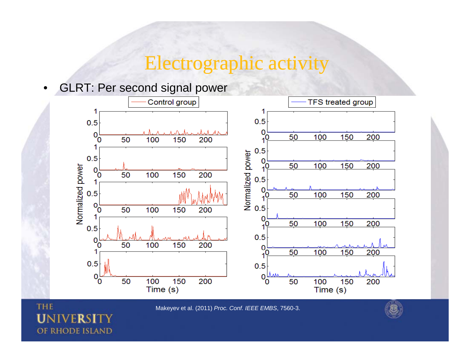#### $\bullet$ GLRT: Per second signal power



Makeyev et al. (2011) *Proc. Conf. IEEE EMBS*, 7560-3.

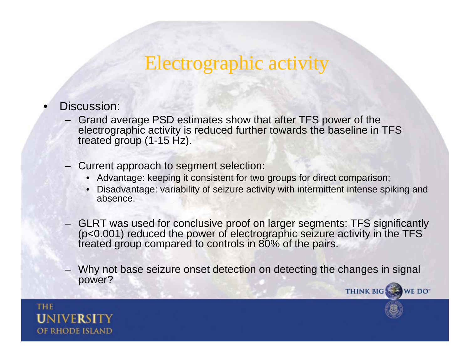- • Discussion:
	- Grand average PSD estimates show that after TFS power of the electrographic activity is reduced further towards the baseline in TFS treated group (1-15 Hz).
	- Current approach to segment selection:
		- Advantage: keeping it consistent for two groups for direct comparison;
		- Disadvantage: variability of seizure activity with intermittent intense spiking and absence.
	- GLRT was used for conclusive proof on larger segments: TFS significantly (p<0.001) reduced the power of electrographic seizure activity in the TFS treated group compared to controls in 80% of the pairs.
	- Why not base seizure onset detection on detecting the changes in signal power?

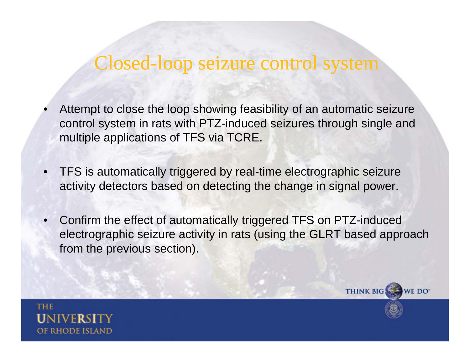- •Attempt to close the loop showing feasibility of an automatic seizure control system in rats with PTZ-induced seizures through single and multiple applications of TFS via TCRE.
- • TFS is automatically triggered by real-time electrographic seizure activity detectors based on detecting the change in signal power.
- • Confirm the effect of automatically triggered TFS on PTZ-induced electrographic seizure activity in rats (using the GLRT based approach from the previous section).

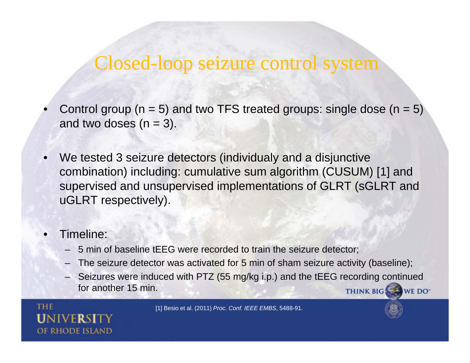- •Control group ( $n = 5$ ) and two TFS treated groups: single dose ( $n = 5$ ) and two doses  $(n = 3)$ .
- •We tested 3 seizure detectors (individualy and a disjunctive combination) including: cumulative sum algorithm (CUSUM) [1] and supervised and unsupervised implementations of GLRT (sGLRT and uGLRT respectively).
- • Timeline:
	- 5 min of baseline tEEG were recorded to train the seizure detector;
	- The seizure detector was activated for 5 min of sham seizure activity (baseline);
	- Seizures were induced with PTZ (55 mg/kg i.p.) and the tEEG recording continued for another 15 min. THINK BIG WE DO

[1] Besio et al. (2011) *Proc. Conf. IEEE EMBS*, 5488-91.

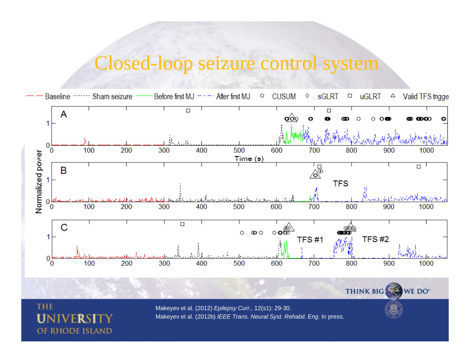

OF RHODE ISLAND

**THE** 

U

Makeyev et al. (2012) *Epilepsy Curr.,* 12(s1): 29-30. Makeyev et al. (2012b) *IEEE Trans. Neural Syst. Rehabil. Eng.* In press.

THINK BIG

WE DO\*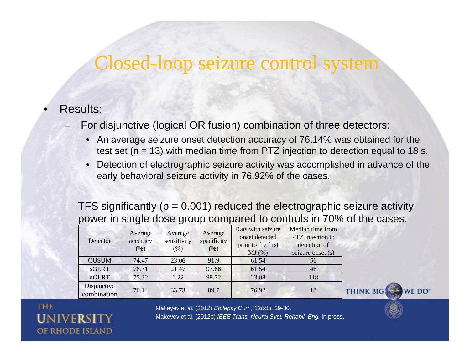#### •Results:

For disjunctive (logical OR fusion) combination of three detectors:

- An average seizure onset detection accuracy of 76.14% was obtained for the test set ( $n = 13$ ) with median time from PTZ injection to detection equal to 18 s.
- • Detection of electrographic seizure activity was accomplished in advance of the early behavioral seizure activity in 76.92% of the cases.
- –TFS significantly ( $p = 0.001$ ) reduced the electrographic seizure activity power in single dose group compared to controls in 70% of the cases.

| Detector                   | Average<br>accuracy<br>(% ) | Average<br>sensitivity<br>(% ) | Average<br>specificity<br>(% ) | Rats with seizure<br>onset detected<br>prior to the first<br>MJ(%) | Median time from<br>PTZ injection to<br>detection of<br>seizure onset (s) |
|----------------------------|-----------------------------|--------------------------------|--------------------------------|--------------------------------------------------------------------|---------------------------------------------------------------------------|
| <b>CUSUM</b>               | 74.47                       | 23.06                          | 91.9                           | 61.54                                                              | 56                                                                        |
| sGLRT                      | 78.31                       | 21.47                          | 97.66                          | 61.54                                                              | 46                                                                        |
| uGLRT                      | 75.32                       | 1.22                           | 98.72                          | 23.08                                                              | 118                                                                       |
| Disjunctive<br>combination | 76.14                       | 33.73                          | 89.7                           | 76.92                                                              | 18                                                                        |



**THE** OF RHODE ISLAND

Makeyev et al. (2012) *Epilepsy Curr.,* 12(s1): 29-30. Makeyev et al. (2012b) *IEEE Trans. Neural Syst. Rehabil. Eng.* In press.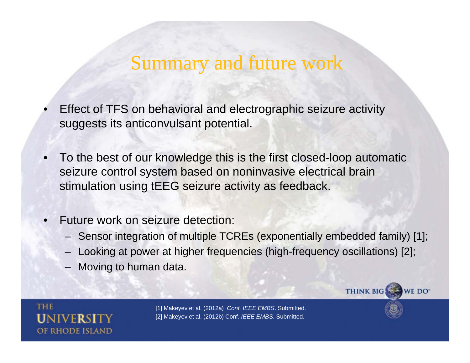### Summary and future work

- •Effect of TFS on behavioral and electrographic seizure activity suggests its anticonvulsant potential.
- •• To the best of our knowledge this is the first closed-loop automatic seizure control system based on noninvasive electrical brain stimulation using tEEG seizure activity as feedback.
- • Future work on seizure detection:
	- Sensor integration of multiple TCREs (exponentially embedded family) [1];
	- –Looking at power at higher frequencies (high-frequency oscillations) [2];
	- Moving to human data.

**THE** 



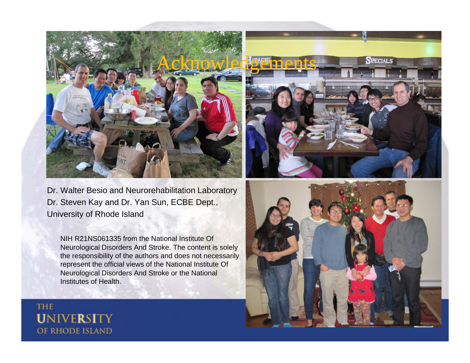

Dr. Walter Besio and Neurorehabilitation Laboratory Dr. Steven Kay and Dr. Yan Sun, ECBE Dept., University of Rhode Island

NIH R21NS061335 from the National Institute Of Neurological Disorders And Stroke. The content is solely the responsibility of the authors and does not necessarily represent the official views of the National Institute Of Neurological Disorders And Stroke or the National Institutes of Health.

**THE UNIVERSITY** OF RHODE ISLAND



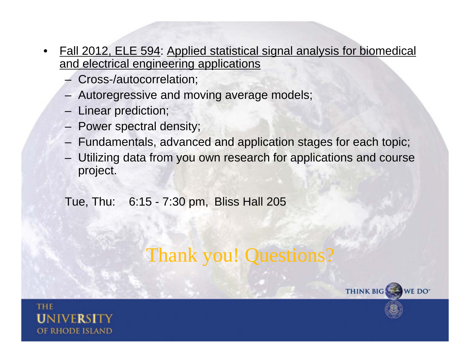- • Fall 2012, ELE 594: Applied statistical signal analysis for biomedical and electrical engineering applications
	- Cross-/autocorrelation;
	- Autoregressive and moving average models;
	- Linear prediction;
	- Power spectral density;
	- Fundamentals, advanced and application stages for each topic;
	- Utilizing data from you own research for applications and course project.

### Tue, Thu: 6:15 - 7:30 pm, Bliss Hall 205

## Thank you! Questions?